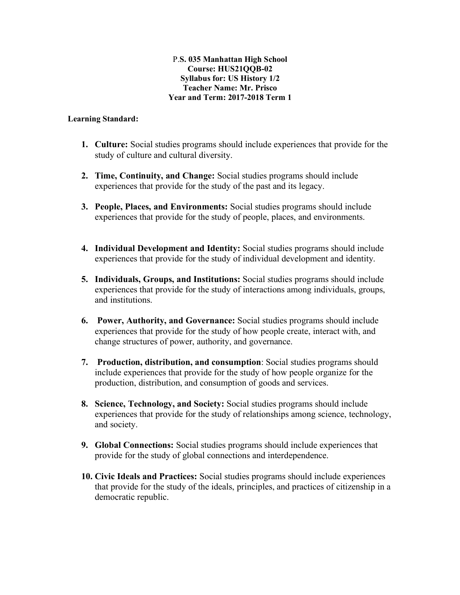#### P.**S. 035 Manhattan High School Course: HUS21QQB-02 Syllabus for: US History 1/2 Teacher Name: Mr. Prisco Year and Term: 2017-2018 Term 1**

#### **Learning Standard:**

- **1. Culture:** Social studies programs should include experiences that provide for the study of culture and cultural diversity.
- **2. Time, Continuity, and Change:** Social studies programs should include experiences that provide for the study of the past and its legacy.
- **3. People, Places, and Environments:** Social studies programs should include experiences that provide for the study of people, places, and environments.
- **4. Individual Development and Identity:** Social studies programs should include experiences that provide for the study of individual development and identity.
- **5. Individuals, Groups, and Institutions:** Social studies programs should include experiences that provide for the study of interactions among individuals, groups, and institutions.
- **6. Power, Authority, and Governance:** Social studies programs should include experiences that provide for the study of how people create, interact with, and change structures of power, authority, and governance.
- **7. Production, distribution, and consumption**: Social studies programs should include experiences that provide for the study of how people organize for the production, distribution, and consumption of goods and services.
- **8. Science, Technology, and Society:** Social studies programs should include experiences that provide for the study of relationships among science, technology, and society.
- **9. Global Connections:** Social studies programs should include experiences that provide for the study of global connections and interdependence.
- **10. Civic Ideals and Practices:** Social studies programs should include experiences that provide for the study of the ideals, principles, and practices of citizenship in a democratic republic.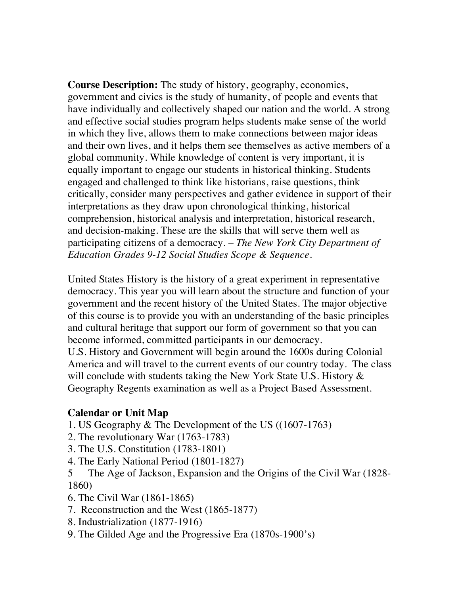**Course Description:** The study of history, geography, economics, government and civics is the study of humanity, of people and events that have individually and collectively shaped our nation and the world. A strong and effective social studies program helps students make sense of the world in which they live, allows them to make connections between major ideas and their own lives, and it helps them see themselves as active members of a global community. While knowledge of content is very important, it is equally important to engage our students in historical thinking. Students engaged and challenged to think like historians, raise questions, think critically, consider many perspectives and gather evidence in support of their interpretations as they draw upon chronological thinking, historical comprehension, historical analysis and interpretation, historical research, and decision-making. These are the skills that will serve them well as participating citizens of a democracy*. – The New York City Department of Education Grades 9-12 Social Studies Scope & Sequence.* 

United States History is the history of a great experiment in representative democracy. This year you will learn about the structure and function of your government and the recent history of the United States. The major objective of this course is to provide you with an understanding of the basic principles and cultural heritage that support our form of government so that you can become informed, committed participants in our democracy.

U.S. History and Government will begin around the 1600s during Colonial America and will travel to the current events of our country today. The class will conclude with students taking the New York State U.S. History  $\&$ Geography Regents examination as well as a Project Based Assessment.

#### **Calendar or Unit Map**

- 1. US Geography & The Development of the US ((1607-1763)
- 2. The revolutionary War (1763-1783)
- 3. The U.S. Constitution (1783-1801)
- 4. The Early National Period (1801-1827)

5 The Age of Jackson, Expansion and the Origins of the Civil War (1828-1860)

- 6. The Civil War (1861-1865)
- 7. Reconstruction and the West (1865-1877)
- 8. Industrialization (1877-1916)
- 9. The Gilded Age and the Progressive Era (1870s-1900's)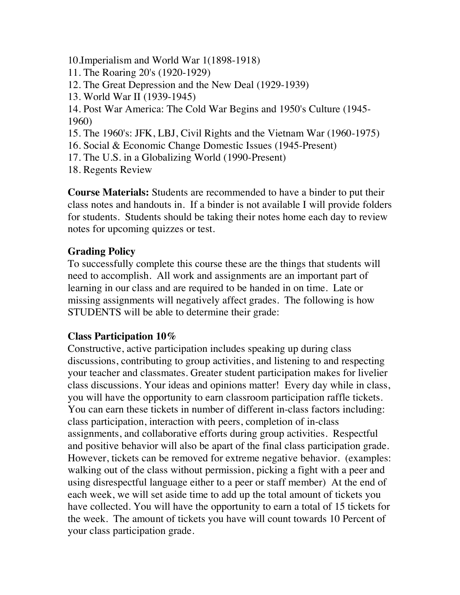- 10.Imperialism and World War 1(1898-1918)
- 11. The Roaring 20's (1920-1929)
- 12. The Great Depression and the New Deal (1929-1939)
- 13. World War II (1939-1945)
- 14. Post War America: The Cold War Begins and 1950's Culture (1945- 1960)
- 15. The 1960's: JFK, LBJ, Civil Rights and the Vietnam War (1960-1975)
- 16. Social & Economic Change Domestic Issues (1945-Present)
- 17. The U.S. in a Globalizing World (1990-Present)
- 18. Regents Review

**Course Materials:** Students are recommended to have a binder to put their class notes and handouts in. If a binder is not available I will provide folders for students. Students should be taking their notes home each day to review notes for upcoming quizzes or test.

# **Grading Policy**

To successfully complete this course these are the things that students will need to accomplish. All work and assignments are an important part of learning in our class and are required to be handed in on time. Late or missing assignments will negatively affect grades. The following is how STUDENTS will be able to determine their grade:

# **Class Participation 10%**

Constructive, active participation includes speaking up during class discussions, contributing to group activities, and listening to and respecting your teacher and classmates. Greater student participation makes for livelier class discussions. Your ideas and opinions matter! Every day while in class, you will have the opportunity to earn classroom participation raffle tickets. You can earn these tickets in number of different in-class factors including: class participation, interaction with peers, completion of in-class assignments, and collaborative efforts during group activities. Respectful and positive behavior will also be apart of the final class participation grade. However, tickets can be removed for extreme negative behavior. (examples: walking out of the class without permission, picking a fight with a peer and using disrespectful language either to a peer or staff member) At the end of each week, we will set aside time to add up the total amount of tickets you have collected. You will have the opportunity to earn a total of 15 tickets for the week. The amount of tickets you have will count towards 10 Percent of your class participation grade.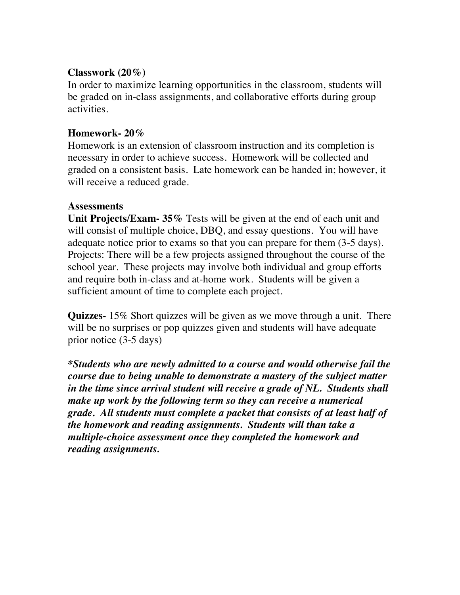### **Classwork (20%)**

In order to maximize learning opportunities in the classroom, students will be graded on in-class assignments, and collaborative efforts during group activities.

### **Homework- 20%**

Homework is an extension of classroom instruction and its completion is necessary in order to achieve success. Homework will be collected and graded on a consistent basis. Late homework can be handed in; however, it will receive a reduced grade.

#### **Assessments**

**Unit Projects/Exam- 35%** Tests will be given at the end of each unit and will consist of multiple choice, DBQ, and essay questions. You will have adequate notice prior to exams so that you can prepare for them (3-5 days). Projects: There will be a few projects assigned throughout the course of the school year. These projects may involve both individual and group efforts and require both in-class and at-home work. Students will be given a sufficient amount of time to complete each project.

**Quizzes-** 15% Short quizzes will be given as we move through a unit. There will be no surprises or pop quizzes given and students will have adequate prior notice (3-5 days)

*\*Students who are newly admitted to a course and would otherwise fail the course due to being unable to demonstrate a mastery of the subject matter in the time since arrival student will receive a grade of NL. Students shall make up work by the following term so they can receive a numerical grade. All students must complete a packet that consists of at least half of the homework and reading assignments. Students will than take a multiple-choice assessment once they completed the homework and reading assignments.*